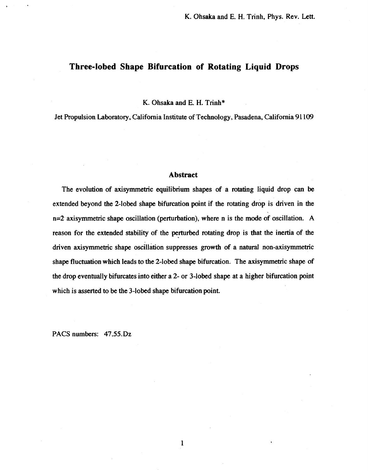## **Three-lobed Shape Bifurcation of Rotating Liquid Drops**

**K.** Ohsaka and **E. H.** Trinh\*

Jet Propulsion Laboratory, California Institute of Technology, Pasadena, California **91 109** 

## **Abstract**

The evolution of axisymmetric equilibrium shapes of a rotating liquid drop can be extended beyond the 2-lobed shape bifurcation point if the rotating drop is driven in the n=2. axisymmetric shape oscillation (perturbation), where n is the mode of oscillation. **A**  reason for the extended stability of the perturbed rotating **drop is** that the inertia of the driven axisymmetric shape oscillation suppresses growth of a natural non-axisymmetric shape fluctuation which leads to the 2-lobed shape bifurcation. The axisymmetric shape of the drop eventually bifurcates **into** either a 2- or 3-lobed shape at a higher bifurcation point which is asserted to be the 3-lobed shape bifurcation point.

**1** 

PACS numbers: 47.55.Dz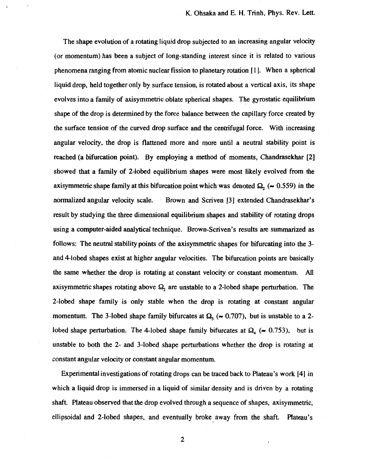The shape evolution of a rotating liquid drop subjected to an increasing angular velocity **(or** momentum) has been a subject of long-standing interest since it is related to various phenomena ranging from atomic nuclear fission to planetary rotation [ **1** I. When a spherical liquid drop, held together only by surface tension, is rotated about a vertical axis, its shape evolves into a family of axisymmetric oblate spherical shapes. The gyrostatic equilibrium shape of the drop is determined by the force balance between the capillary force created by the surface tension of the curved drop surface and the centrifugal force. With increasing angular velocity, the drop is flattened more and more until a neutral stability point is reached (a bifurcation point). By employing a method of moments, Chandrasekhar [2] showed that a family of 2-lobed equilibrium shapes were most likely evolved from the axisymmetric shape family at this bifurcation point which was denoted  $\Omega_2$  ( $\sim 0.559$ ) in the normalized angular velocity scale. - Brown and Scriven [3] extended Chandrasekhar's result by studying the three dimensional equilibrium shapes and stability of rotating drops using a computer-aided analytical technique. Brown-Scriven's results are summarized as follows: The neutral stability points of the axisymmetric shapes for bifurcating into the 3 and 4-lobed shapes exist at higher angular velocities. The bifurcation points are basically the same whether the drop **is** rotating at constant velocity **or** constant momentum. All axisymmetric shapes rotating above  $\Omega_2$  are unstable to a 2-lobed shape perturbation. The 2-lobed shape family is only stable when the drop is rotating at constant angular momentum. The 3-lobed shape family bifurcates at  $\Omega_3$  ( $\sim 0.707$ ), but is unstable to a 2lobed shape perturbation. The 4-lobed shape family bifurcates at  $\Omega_4$  ( $\approx 0.753$ ), but is unstable to both the 2- and 3-lobed shape perturbations whether the drop is rotating at constant angular velocity **or** constant angular momentum.

Experimental investigations of rotating drops can be traced back to Plateau's work **[4]** .in which a liquid drop is immersed in a liquid of similar density and is driven by a rotating shaft. Plateau observed that the drop evolved through a sequence of shapes, axisymmetric, ellipsoidal and 2-lobed shapes, and eventually broke away from the shaft. Hateau's

2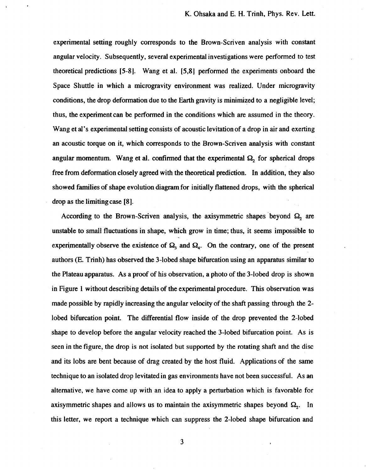experimental setting roughly corresponds to the Brown-Scriven analysis with constant angular velocity. Subsequently, several experimental investigations were performed to test theoretical predictions **[5-8J.** Wang et al. **[5,8]** performed the experiments onboard the Space Shuttle in which a microgravity environment was realized. Under microgravity conditions, the drop deformation due to the Earth gravity is minimized to a negligible level; thus, the experiment can be performed in the conditions which are assumed in the theory. Wang et al's experimental setting consists of acoustic levitation of a drop in air and exerting an acoustic torque on it, which corresponds to the Brown-Scriven analysis with constant angular momentum. Wang et al. confirmed that the experimental  $\Omega_2$  for spherical drops free from deformation closely agreed with the theoretical prediction. In addition, they also showed families of shape evolution diagram for initially flattened drops, with the spherical drop as the limitingcase **[8].** 

According to the Brown-Scriven analysis, the axisymmetric shapes beyond  $\Omega_2$  are unstable to small fluctuations in shape, which grow in time; thus, it seems impossible to experimentally observe the existence of  $\Omega_3$  and  $\Omega_4$ . On the contrary, one of the present authors (E. Trinh) has observed the 3-lobed shape bifurcation using an apparatus similar to the Plateau apparatus. **As** a proof of his observation, **a** photo of the **3-lobed** drop is shown in Figure **1** without describing details of the experimental procedure. **This** observation was made possible by rapidly increasing the angular velocity of the shaft passing through the **2**  lobed bifurcation point. The differential flow inside of the drop prevented the 2-lobed shape to develop before the angular velocity reached the 3-lobed bifurcation point. **As** is seen in the figure, the drop is not isolated but supported by the rotating shaft and the disc and its lobs are bent because of drag created by the host fluid. Applications of the same technique to an isolated drop levitated in gas environments have not been successful. **As** an alternative, we have come up with an idea to apply a perturbation which is favorable for axisymmetric shapes and allows us to maintain the axisymmetric shapes beyond  $\Omega_2$ . In this letter, we report a technique which can suppress the 2-lobed shape bifurcation and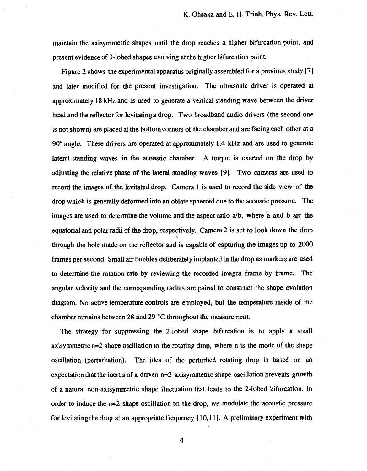maintain the axisymmetric shapes until the drop reaches a higher bifurcation point, and present evidence of 3-lobed shapes evolving at the higher bifurcation point.

Figure **2** shows the experimental apparatus originally assembled for a previous study **171**  and later modified for the present investigation. The ultrasonic driver is operated at approximately **18 kHz** and is used to generate a vertical standing wave between the driver head and the reflector for levitating a drop. Two broadband audio drivers (the second one is not shown) are placed at the bottom comers of the chamber and are facing each other at a 90" angle. These drivers are operated at approximately **1.4 kHz** and are used to generate lateral standing waves in the acoustic chamber. **A** torque is exerted on the drop by adjusting the relative phase **of** the lateral standing waves **[9].** Two cameras *are* used to record the images **of** the levitated drop. Camera **1 is** used to record the side view **of** the drop which is generally deformed into an oblate spheroid due **to** the acoustic pressure. The images are used to determine the volume and the aspect ratio a/b, where a and b are the equatorial and polar radii of the drop, respectively. Camera 2 is set to **look** down the drop through the hole made on the refl'ector and is capable of capturing the images up to **2000**  frames per second. Small **air** bubbles deliberately implanted in the drop as markers are used to determine the rotation rate by reviewing the recorded images frame by frame. The angular velocity and the corresponding radius are paired to construct the shape evolution diagram. **No** active temperature controls are employed, but the temperature inside of the chamber remains between **28** and **29 "C** throughout the measurement.

The strategy for suppressing the 2-lobed shape bifurcation is to apply a small axisymmetric n=2 shape oscillation to the rotating drop, where **n** is the mode of the shape oscillation (perturbation). The idea **of** the perturbed rotating drop is based on an expectation that the inertia of a driven n=2 axisymmetric shape oscillation prevents growth of a natural non-axisymmetric shape fluctuation that leads to the 2-lobed bifurcation. In order to induce the n=2 shape oscillation on the drop, we modulate the acoustic pressure for levitating the drop at an appropriate frequency **[IO, 1 1 1. A** preliminary experiment with

**4**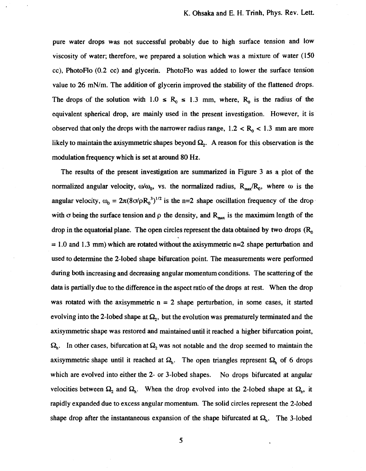pure water drops was not successful probably due to high surface tension and low viscosity **of** water; therefore, we prepared a solution which was a mixture of water **(150**  cc), PhotoFlo (0.2 cc) and glycerin. PhotoFlo was added to lower the surface tension value to 26 mN/m. The addition of glycerin improved the stability **of** the flattened drops. The drops of the solution with  $1.0 \le R_0 \le 1.3$  mm, where,  $R_0$  is the radius of the equivalent spherical drop, are mainly used in the present investigation. However, it is observed that only the drops with the narrower radius range,  $1.2 < R_0 < 1.3$  mm are more likely to maintain the axisymmetric shapes beyond  $\Omega$ <sub>2</sub>. A reason for this observation is the modulation frequency which is set at around **80** Hz.

The results **of** the present investigation are summarized in Figure 3 as a plot of the normalized angular velocity,  $\omega/\omega_0$ , vs. the normalized radius,  $R_{max}/R_0$ , where  $\omega$  is the angular velocity,  $\omega_0 = 2\pi (8\sigma/\rho R_0^3)^{1/2}$  is the n=2 shape oscillation frequency of the drop with  $\sigma$  being the surface tension and  $\rho$  the density, and  $R_{max}$  is the maximum length of the drop in the equatorial plane. The open circles represent the data obtained by two drops  $(R_0, R_1)$ = **1.0** and 1.3 mm) which are rotated without the axisymmetric n=2 shape perturbation and used to determine the 2-lobed shape. bifurcation point. The measurements were performed during both increasing and decreasing angular momentum conditions. The scattering of the data is partially due to the difference in the aspect ratio of the drops at rest. When the drop was rotated with the axisymmetric  $n = 2$  shape perturbation, in some cases, it started evolving into the 2-lobed shape at  $\Omega_2$ , but the evolution was prematurely terminated and the axisymmetric shape was restored and maintained until it reached a higher bifurcation point,  $\Omega_{\rm b}$ . In other cases, bifurcation at  $\Omega_{\rm b}$  was not notable and the drop seemed to maintain the axisymmetric shape until it reached at  $\Omega_h$ . The open triangles represent  $\Omega_h$  of 6 drops which are evolved into either the 2- **or** 3-lobed shapes. No drops bifurcated at angular velocities between  $\Omega_2$  and  $\Omega_h$ . When the drop evolved into the 2-lobed shape at  $\Omega_h$ , it rapidly expanded due to excess angular momentum. The solid circles represent the 2-lobed shape drop after the instantaneous expansion of the shape bifurcated at  $\Omega_h$ . The 3-lobed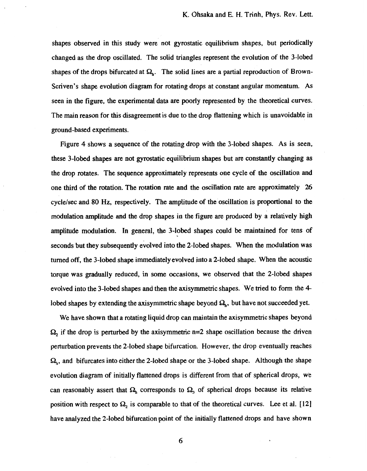shapes observed in this study were not gyrostatic equilibrium shapes, but periodically changed as the drop oscillated. The solid triangles represent the evolution of the 3-lobed shapes of the drops bifurcated at  $\Omega_h$ . The solid lines are a partial reproduction of Brown-Scriven's shape evolution diagram for rotating drops at constant angular momentum. As seen in the figure, the experimental data are poorly represented by. the theoretical curves. The main reason for this disagreement is due to the drop flattening which is unavoidable in ground-based experiments.

Figure **4** shows a sequence of the rotating drop with the 3-lobed shapes. As is seen, these 3-lobed shapes are not gyrostatic equilibrium shapes but are constantly changing as the drop rotates. The sequence approximately represents one cycle of the oscillation and one third of the rotation. The rotation rate and the oscillation rate are approximately 26 cycle/sec and **80 Hz,** respectively. The amplitude of the oscillation is proportional to the modulation amplitude and the drop shapes in the figure are produced by **a** relatively high amplitude modulation. In general, the 3-lobed shapes could be maintained for tens **of**  seconds but they subsequently evolved into the 2-lobed shapes. When the modulation was turned off, the 3-lobed shape immediately evolved into a 2-lobed shape. When the acoustic torque was gradually reduced, in some occasions, we observed that the 2-lobed shapes evolved into the 3-lobed shapes and then the axisymmetric shapes. We tried to form the **4**  lobed shapes by extending the axisymmetric shape beyond  $\Omega_h$ , but have not succeeded yet.

We have shown that a rotating liquid drop can maintain the axisymmetric shapes beyond  $\Omega_2$  if the drop is perturbed by the axisymmetric n=2 shape oscillation because the driven perturbation prevents the 2-lobed shape bifurcation. However, the drop eventually reaches *q,* and bifurcates into either the 2-lobed shape **or** the 3-lobed shape. Although the shape evolution diagram of initially flattened drops is different from that of spherical drops, we can reasonably assert that  $\Omega_h$  corresponds to  $\Omega_3$  of spherical drops because its relative position with respect to  $\Omega_2$  is comparable to that of the theoretical curves. Lee et al. [12] have analyzed the 2-lobed bifurcation point of the initially flattened drops and have shown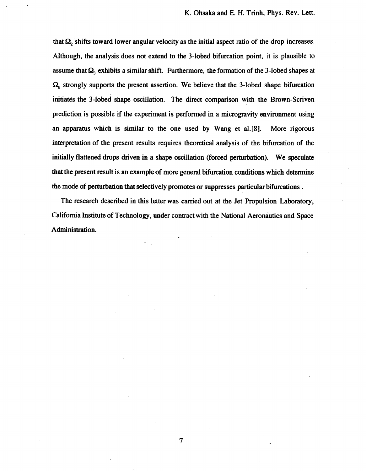that  $\Omega$ , shifts toward lower angular velocity as the initial aspect ratio of the drop increases. **Although, the analysis does not extend to the 3-lobed bifurcation point, it is plausible to**  assume that  $\Omega_3$  exhibits a similar shift. Furthermore, the formation of the 3-lobed shapes at *SZ,* **strongly supports the present assertion. We believe that the 3-lobed shape bifurcation initiates the 3-lobed shape oscillation. The direct comparison with the Brown-Scriven prediction is possible if the experiment is performed in a microgravity environment using an apparatus which is similar to the one used by Wang et a1.[8]. More rigorous interpretation of the present results requires theoretical analysis of the bifurcation of the initially flattened drops driven in a shape oscillation (forced perturbation). We speculate that the present result is** an **example of more general bifurcation conditions which determine the mode of perturbation that selectively promotes or suppresses particular bifurcations** .

**The research described in this letter was carried out at the Jet Propulsion Laboratory, California Institute of Technology, under contract with the National Aeronautics and Space Administration.**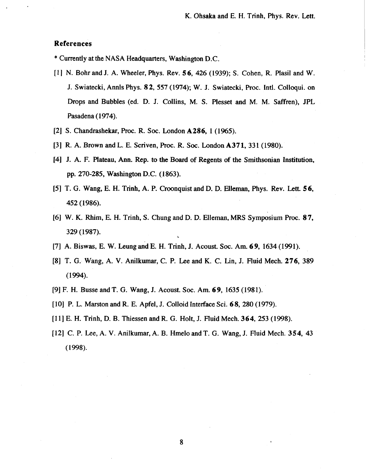## **References**

\* Currently at the NASA Headquarters, Washington D.C.

- [ **11** N. Bohr and **J. A.** Wheeler, Phys. Rev. **56, 426 (1939); S.** Cohen, R. Plasil and W. **J.** Swiatecki, Annls Phys. **8 2, 557 (1974);** W. **J.** Swiatecki, hoc. Intl. Colloqui. on Drops and Bubbles (ed. D. J. Collins, M. **S.** Plesset **and** M. M. Saffren), JPL Pasadena (1974).
- **[2] S.** Chandrashekar, Proc. **R.** *Soc.* London **A286, 1 (1965).**
- **[3]** R. A. Brown and L. **E.** Scriven, Proc. R. *Soc.* London **A371, 331 (1980).**
- **[4] J.** A. **F.** Plateau, Ann. Rep. to the Board of Regents **of** the Smithsonian Institution, pp. **270-285,** Washington D.C. **(1 863).**
- **[5]** T. *G.* Wang, **E. H.** Trinh, **A.** P. Croonquist and **D.** D. Elleman, Phys. Rev. Lett. **5 6, 452 (1986).**
- **[6] W. K.** Rhim, **E.** H. Trinh, **S.** Chung and **D.** D. Elleman, *MRS* Symposium Proc. **87, 329 (1987).**
- **[7] A. Biswas, E. W. Leung and E. H. Trinh, J. Acoust. Soc. Am. <b>69,** 1634 (1991).
- **[8]** T. *G.* Wang, A. **V.** Anilkumar, C. P. Lee and **K.** C. Lin, J. Fluid Mech. **276, 389 (1 994).**
- **[9]** F. H. Busse and **T.** *G.* Wang, **J.** Acoust. *Soc.* Am. **6 9, 1635 (1981).**
- **[lo]** P. L. Marston and R. **E.** Apfel, **J.** Colloid Interface Sci. **68, 280 (1979).**
- **[l 11 E.** H. Trinh, D. B. Thiessen and R. *G.* Holt, **J.** Fluid Mech. **364, 253 (1998).**
- **1121** C. P. Lee, **A. V.** Anilkumar,A. B. Hmelo and T. *G.* Wang, **J.** Fluid Mech. **354, 43**  ( **1998).**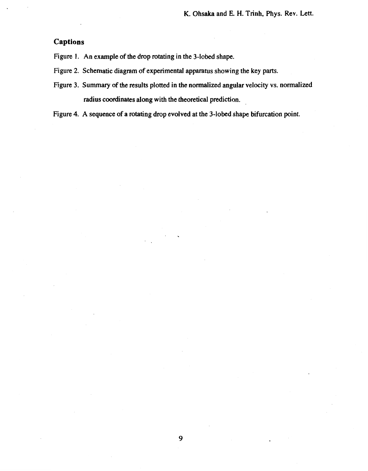## **Captions**

**Figure 1. An example of the drop rotating in the 3-lobed shape.** 

- **Figure 2. Schematic diagram of experimental apparatus showing the key parts.**
- **Figure 3. Summary of the results plotted in the normalized angular velocity vs. normalized radius coordinates along with the theoretical prediction.**

**Figure 4. A sequence of a rotating drop evolved at the 3-lobed shape bifurcation point.**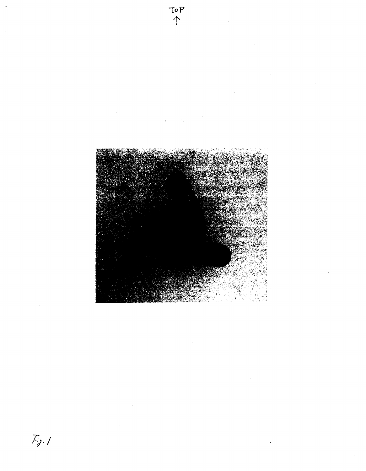

 $F_{\lambda}$ .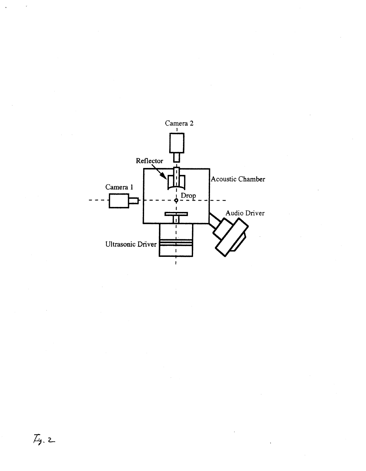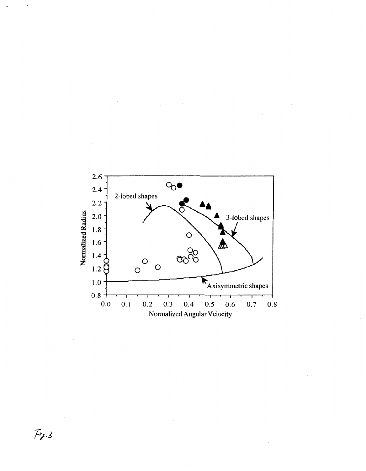